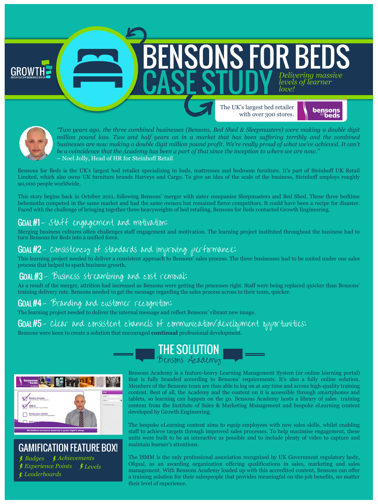The UK's largest bed retailer with over 300 stores.

ENSONS FOR BEDS



*Delivering massive* 

*levels of learner* 

*love!*



"Two years ago, the three combined businesses (Bensons, Bed Shed & Sleepmasters) were making a double digit million pound loss. Two and half years on in a market that has been suffering terribly and the combined businesses are now making a double digit million pound profit. We're really proud of what we've achieved. It can't be a coincidence that the Academy has been a part of that since the inception to where we are now." – Noel Jolly, Head of HR for Steinhoff Retail

Bensons for Beds is the UK's largest bed retailer specializing in beds, mattresses and bedroom furniture. It's part of Steinhoff UK Retail Limited, which also owns UK furniture brands Harveys and Cargo. To give an idea of the scale of the business, Steinhoff employs roughly 90,000 people worldwide.

This story begins back in October 2011, following Bensons' merger with sister companies Sleepmasters and Bed Shed. These three bedtime behemoths competed in the same market and had the same owners but remained fierce competitors. It could have been a recipe for disaster. Faced with the challenge of bringing together three heavyweights of bed retailing, Bensons for Beds contacted Growth Engineering.

#### GOAL #1 - staff engagement and motivation:

Merging business cultures often challenges staff engagement and motivation. The learning project instituted throughout the business had to turn Bensons for Beds into a unified force.

#### - Consistency of standards and improving performance:

This learning project needed to deliver a consistent approach to Bensons' sales process. The three businesses had to be united under one sales process that helped to spark business growth.

#### GOAL#3 - Business streamlining and cost removal:

As a result of the merger, attrition had increased as Bensons were getting the processes right. Staff were being replaced quicker than Bensons' training delivery rate. Bensons needed to get the message regarding the sales process across to their team, quicker.

#### GOAL #4 - Branding and customer recognition:

The learning project needed to deliver the internal message and reflect Bensons' vibrant new image.

#### GOAL#5 - Clear and consistent channels of communication/development opportunities:

Bensons were keen to create a solution that encouraged **continual** professional development.



# **GAMIFICATION FEATURE BOX!**

*Badges Achievements Experience Points Levels Leaderboards*



Bensons Academy is a feature-heavy Learning Management System (or online learning portal) that is fully branded according to Bensons' requirements. It's also a fully online solution. Members of the Bensons team are thus able to log on at any time and access high-quality training content. Best of all, the Academy and the content on it is accessible through smartphones and tablets, so learning can happen on the go. Bensons Academy hosts a library of sales training content from the Institute of Sales & Marketing Management and bespoke eLearning content developed by Growth Engineering.

The bespoke eLearning content aims to equip employees with new sales skills, whilst enabling staff to achieve targets through improved sales processes. To help maximise engagement, these units were built to be as interactive as possible and to include plenty of video to capture and maintain learner's attentions.

The ISMM is the only professional association recognized by UK Government regulatory body, Ofqual, as an awarding organization offering qualifications in sales, marketing and sales management. With Bensons Academy loaded up with this accredited content, Bensons can offer a training solution for their salespeople that provides meaningful on-the-job benefits, no matter their level of experience.